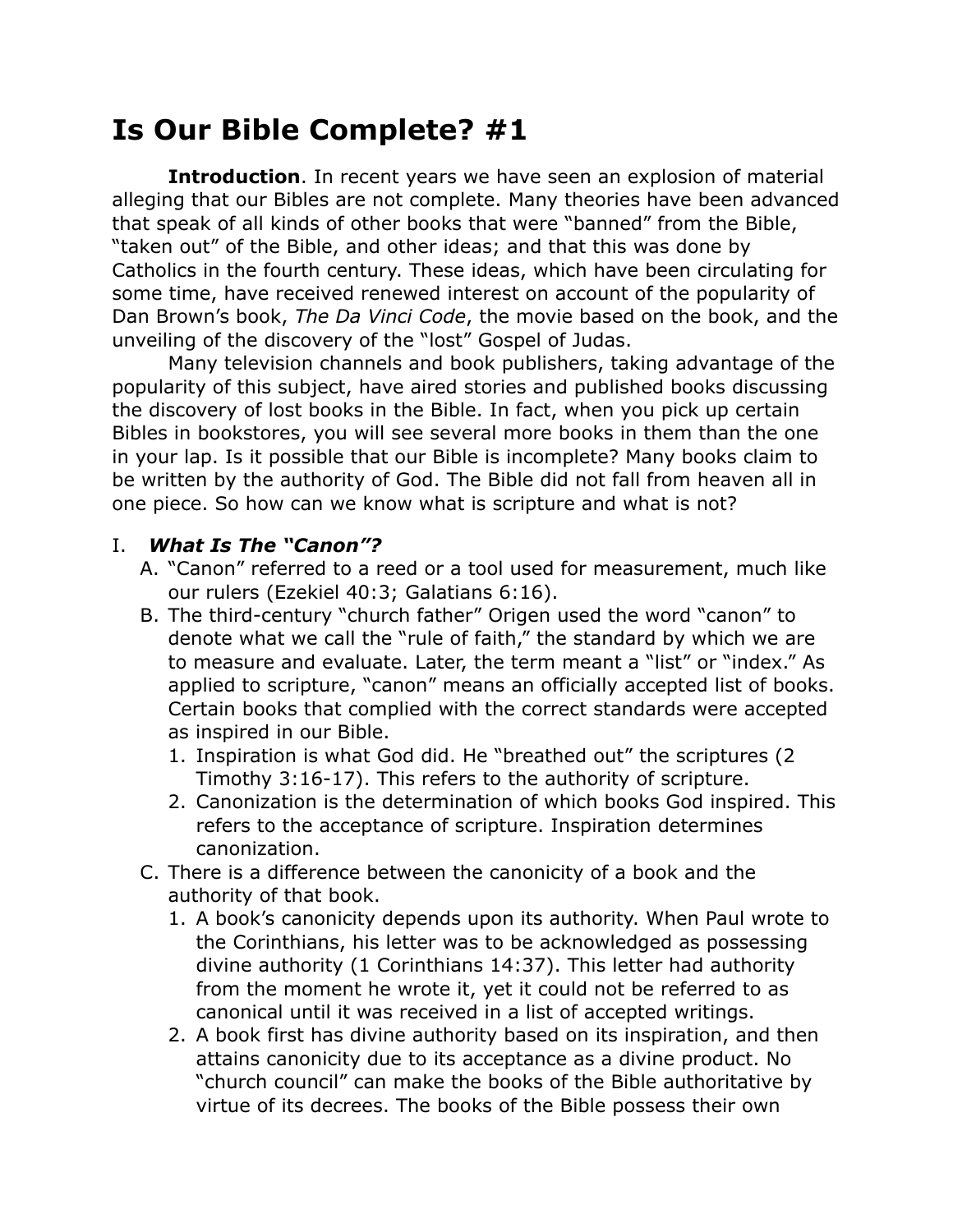## **Is Our Bible Complete? #1**

**Introduction**. In recent years we have seen an explosion of material alleging that our Bibles are not complete. Many theories have been advanced that speak of all kinds of other books that were "banned" from the Bible, "taken out" of the Bible, and other ideas; and that this was done by Catholics in the fourth century. These ideas, which have been circulating for some time, have received renewed interest on account of the popularity of Dan Brown's book, *The Da Vinci Code*, the movie based on the book, and the unveiling of the discovery of the "lost" Gospel of Judas.

Many television channels and book publishers, taking advantage of the popularity of this subject, have aired stories and published books discussing the discovery of lost books in the Bible. In fact, when you pick up certain Bibles in bookstores, you will see several more books in them than the one in your lap. Is it possible that our Bible is incomplete? Many books claim to be written by the authority of God. The Bible did not fall from heaven all in one piece. So how can we know what is scripture and what is not?

## I. *What Is The "Canon"?*

- A. "Canon" referred to a reed or a tool used for measurement, much like our rulers (Ezekiel 40:3; Galatians 6:16).
- B. The third-century "church father" Origen used the word "canon" to denote what we call the "rule of faith," the standard by which we are to measure and evaluate. Later, the term meant a "list" or "index." As applied to scripture, "canon" means an officially accepted list of books. Certain books that complied with the correct standards were accepted as inspired in our Bible.
	- 1. Inspiration is what God did. He "breathed out" the scriptures (2 Timothy 3:16-17). This refers to the authority of scripture.
	- 2. Canonization is the determination of which books God inspired. This refers to the acceptance of scripture. Inspiration determines canonization.
- C. There is a difference between the canonicity of a book and the authority of that book.
	- 1. A book's canonicity depends upon its authority. When Paul wrote to the Corinthians, his letter was to be acknowledged as possessing divine authority (1 Corinthians 14:37). This letter had authority from the moment he wrote it, yet it could not be referred to as canonical until it was received in a list of accepted writings.
	- 2. A book first has divine authority based on its inspiration, and then attains canonicity due to its acceptance as a divine product. No "church council" can make the books of the Bible authoritative by virtue of its decrees. The books of the Bible possess their own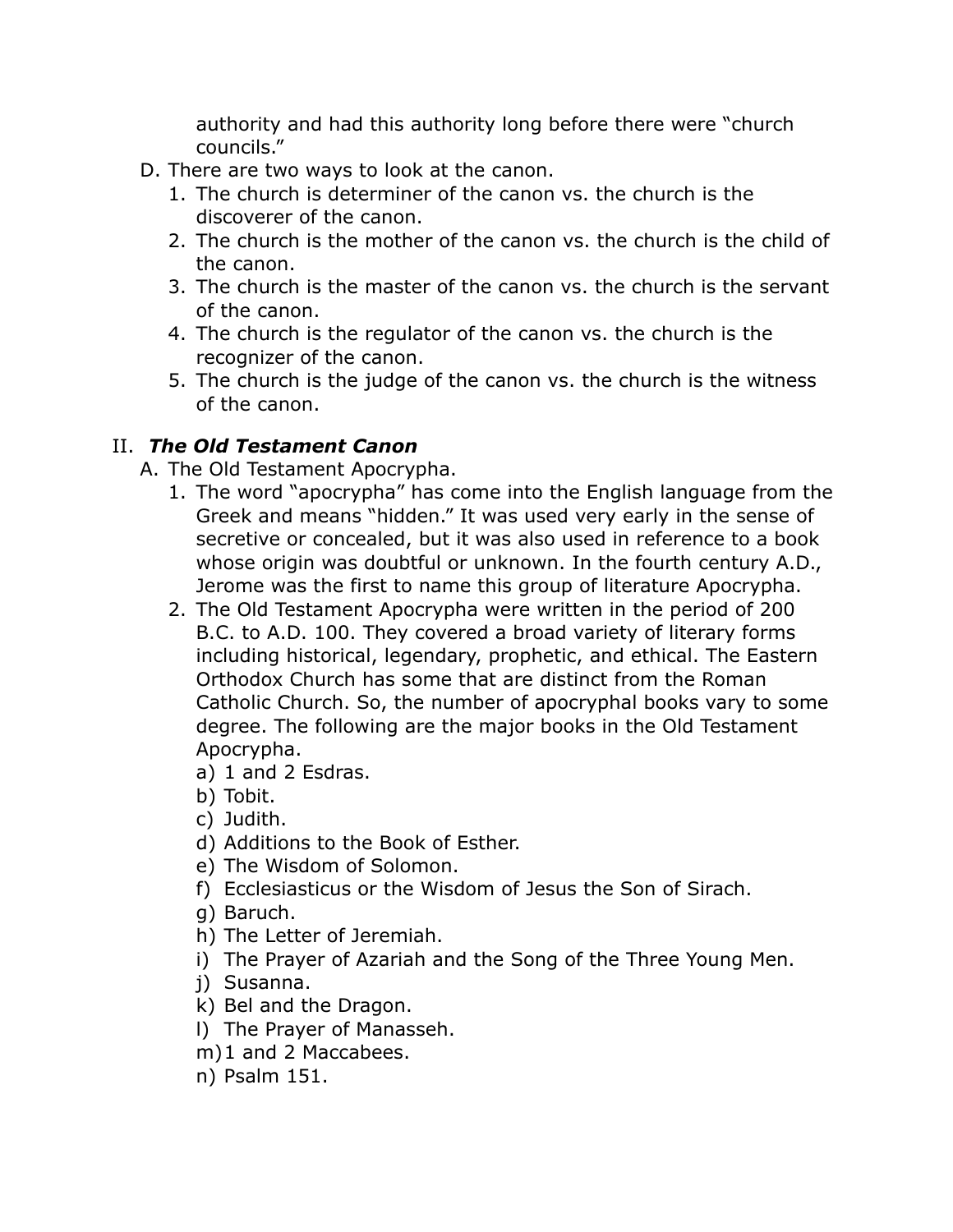authority and had this authority long before there were "church councils."

- D. There are two ways to look at the canon.
	- 1. The church is determiner of the canon vs. the church is the discoverer of the canon.
	- 2. The church is the mother of the canon vs. the church is the child of the canon.
	- 3. The church is the master of the canon vs. the church is the servant of the canon.
	- 4. The church is the regulator of the canon vs. the church is the recognizer of the canon.
	- 5. The church is the judge of the canon vs. the church is the witness of the canon.

## II. *The Old Testament Canon*

- A. The Old Testament Apocrypha.
	- 1. The word "apocrypha" has come into the English language from the Greek and means "hidden." It was used very early in the sense of secretive or concealed, but it was also used in reference to a book whose origin was doubtful or unknown. In the fourth century A.D., Jerome was the first to name this group of literature Apocrypha.
	- 2. The Old Testament Apocrypha were written in the period of 200 B.C. to A.D. 100. They covered a broad variety of literary forms including historical, legendary, prophetic, and ethical. The Eastern Orthodox Church has some that are distinct from the Roman Catholic Church. So, the number of apocryphal books vary to some degree. The following are the major books in the Old Testament Apocrypha.
		- a) 1 and 2 Esdras.
		- b) Tobit.
		- c) Judith.
		- d) Additions to the Book of Esther.
		- e) The Wisdom of Solomon.
		- f) Ecclesiasticus or the Wisdom of Jesus the Son of Sirach.
		- g) Baruch.
		- h) The Letter of Jeremiah.
		- i) The Prayer of Azariah and the Song of the Three Young Men.
		- j) Susanna.
		- k) Bel and the Dragon.
		- l) The Prayer of Manasseh.
		- m)1 and 2 Maccabees.
		- n) Psalm 151.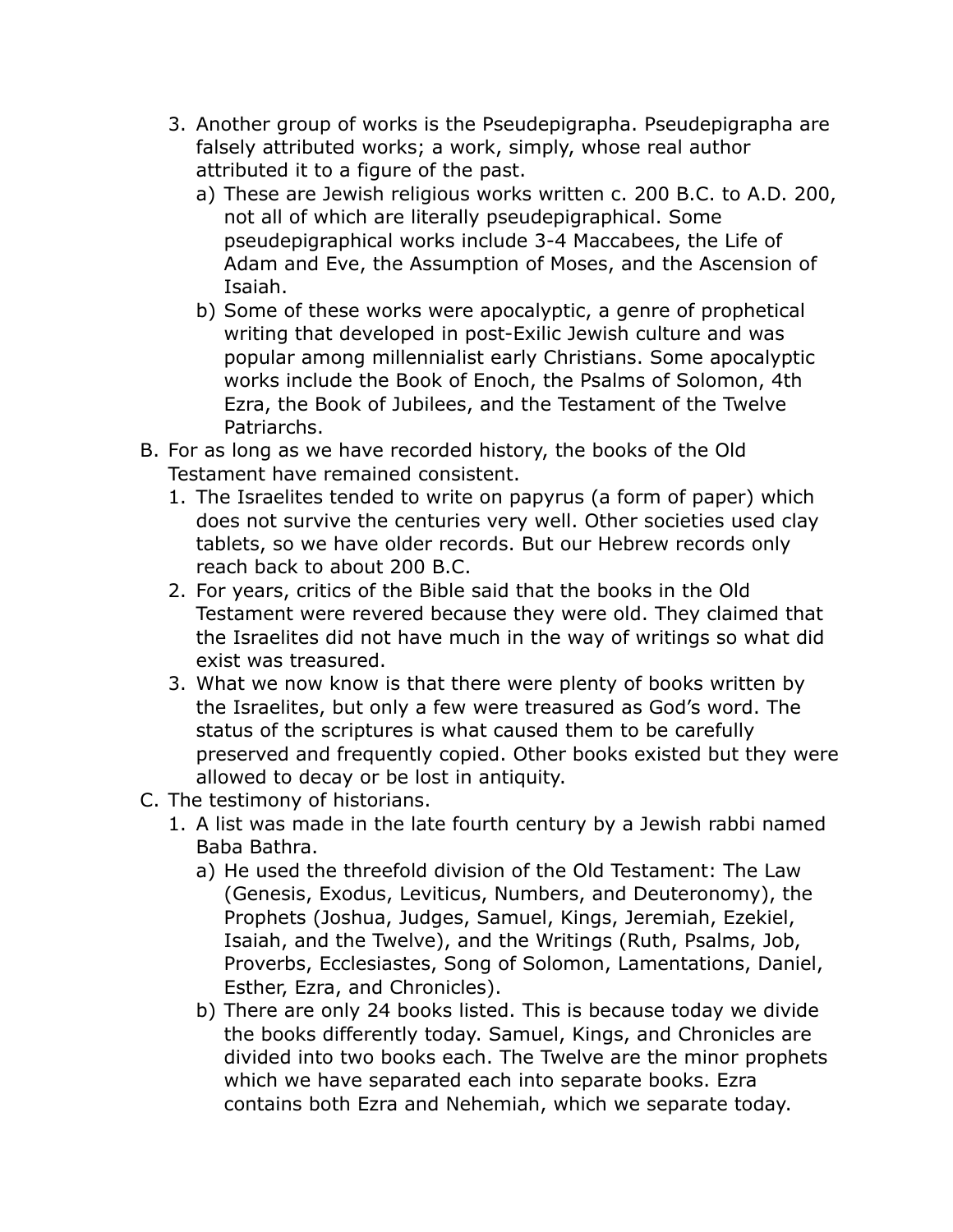- 3. Another group of works is the Pseudepigrapha. Pseudepigrapha are falsely attributed works; a work, simply, whose real author attributed it to a figure of the past.
	- a) These are Jewish religious works written c. 200 B.C. to A.D. 200, not all of which are literally pseudepigraphical. Some pseudepigraphical works include 3-4 Maccabees, the Life of Adam and Eve, the Assumption of Moses, and the Ascension of Isaiah.
	- b) Some of these works were apocalyptic, a genre of [prophetical](http://en.wikipedia.org/wiki/Prophecy) writing that developed in post-[Exilic](http://en.wikipedia.org/wiki/Galut) [Jewish](http://en.wikipedia.org/wiki/Judaism) culture and was popular among [millennialist](http://en.wikipedia.org/wiki/Millennialism) early [Christians](http://en.wikipedia.org/wiki/Christianity). Some apocalyptic works include the Book of Enoch, the Psalms of Solomon, 4th Ezra, the Book of Jubilees, and the Testament of the Twelve Patriarchs.
- B. For as long as we have recorded history, the books of the Old Testament have remained consistent.
	- 1. The Israelites tended to write on papyrus (a form of paper) which does not survive the centuries very well. Other societies used clay tablets, so we have older records. But our Hebrew records only reach back to about 200 B.C.
	- 2. For years, critics of the Bible said that the books in the Old Testament were revered because they were old. They claimed that the Israelites did not have much in the way of writings so what did exist was treasured.
	- 3. What we now know is that there were plenty of books written by the Israelites, but only a few were treasured as God's word. The status of the scriptures is what caused them to be carefully preserved and frequently copied. Other books existed but they were allowed to decay or be lost in antiquity.
- C. The testimony of historians.
	- 1. A list was made in the late fourth century by a Jewish rabbi named Baba Bathra.
		- a) He used the threefold division of the Old Testament: The Law (Genesis, Exodus, Leviticus, Numbers, and Deuteronomy), the Prophets (Joshua, Judges, Samuel, Kings, Jeremiah, Ezekiel, Isaiah, and the Twelve), and the Writings (Ruth, Psalms, Job, Proverbs, Ecclesiastes, Song of Solomon, Lamentations, Daniel, Esther, Ezra, and Chronicles).
		- b) There are only 24 books listed. This is because today we divide the books differently today. Samuel, Kings, and Chronicles are divided into two books each. The Twelve are the minor prophets which we have separated each into separate books. Ezra contains both Ezra and Nehemiah, which we separate today.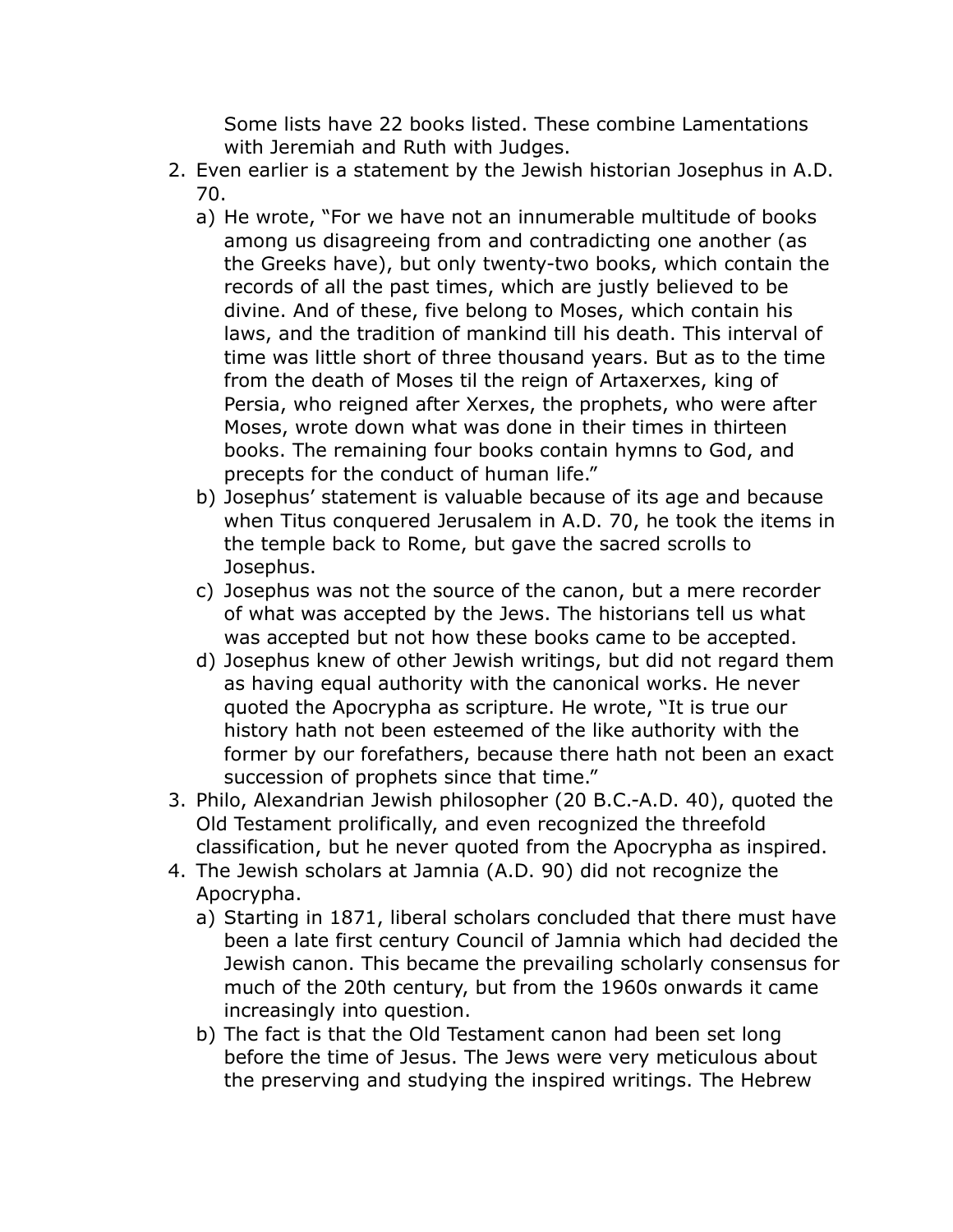Some lists have 22 books listed. These combine Lamentations with Jeremiah and Ruth with Judges.

- 2. Even earlier is a statement by the Jewish historian Josephus in A.D. 70.
	- a) He wrote, "For we have not an innumerable multitude of books among us disagreeing from and contradicting one another (as the Greeks have), but only twenty-two books, which contain the records of all the past times, which are justly believed to be divine. And of these, five belong to Moses, which contain his laws, and the tradition of mankind till his death. This interval of time was little short of three thousand years. But as to the time from the death of Moses til the reign of Artaxerxes, king of Persia, who reigned after Xerxes, the prophets, who were after Moses, wrote down what was done in their times in thirteen books. The remaining four books contain hymns to God, and precepts for the conduct of human life."
	- b) Josephus' statement is valuable because of its age and because when Titus conquered Jerusalem in A.D. 70, he took the items in the temple back to Rome, but gave the sacred scrolls to Josephus.
	- c) Josephus was not the source of the canon, but a mere recorder of what was accepted by the Jews. The historians tell us what was accepted but not how these books came to be accepted.
	- d) Josephus knew of other Jewish writings, but did not regard them as having equal authority with the canonical works. He never quoted the Apocrypha as scripture. He wrote, "It is true our history hath not been esteemed of the like authority with the former by our forefathers, because there hath not been an exact succession of prophets since that time."
- 3. Philo, Alexandrian Jewish philosopher (20 B.C.-A.D. 40), quoted the Old Testament prolifically, and even recognized the threefold classification, but he never quoted from the Apocrypha as inspired.
- 4. The Jewish scholars at Jamnia (A.D. 90) did not recognize the Apocrypha.
	- a) Starting in 1871, liberal scholars concluded that there must have been a late first century Council of Jamnia which had decided the Jewish canon. This became the prevailing scholarly consensus for much of the 20th century, but from the 1960s onwards it came increasingly into question.
	- b) The fact is that the Old Testament canon had been set long before the time of Jesus. The Jews were very meticulous about the preserving and studying the inspired writings. The Hebrew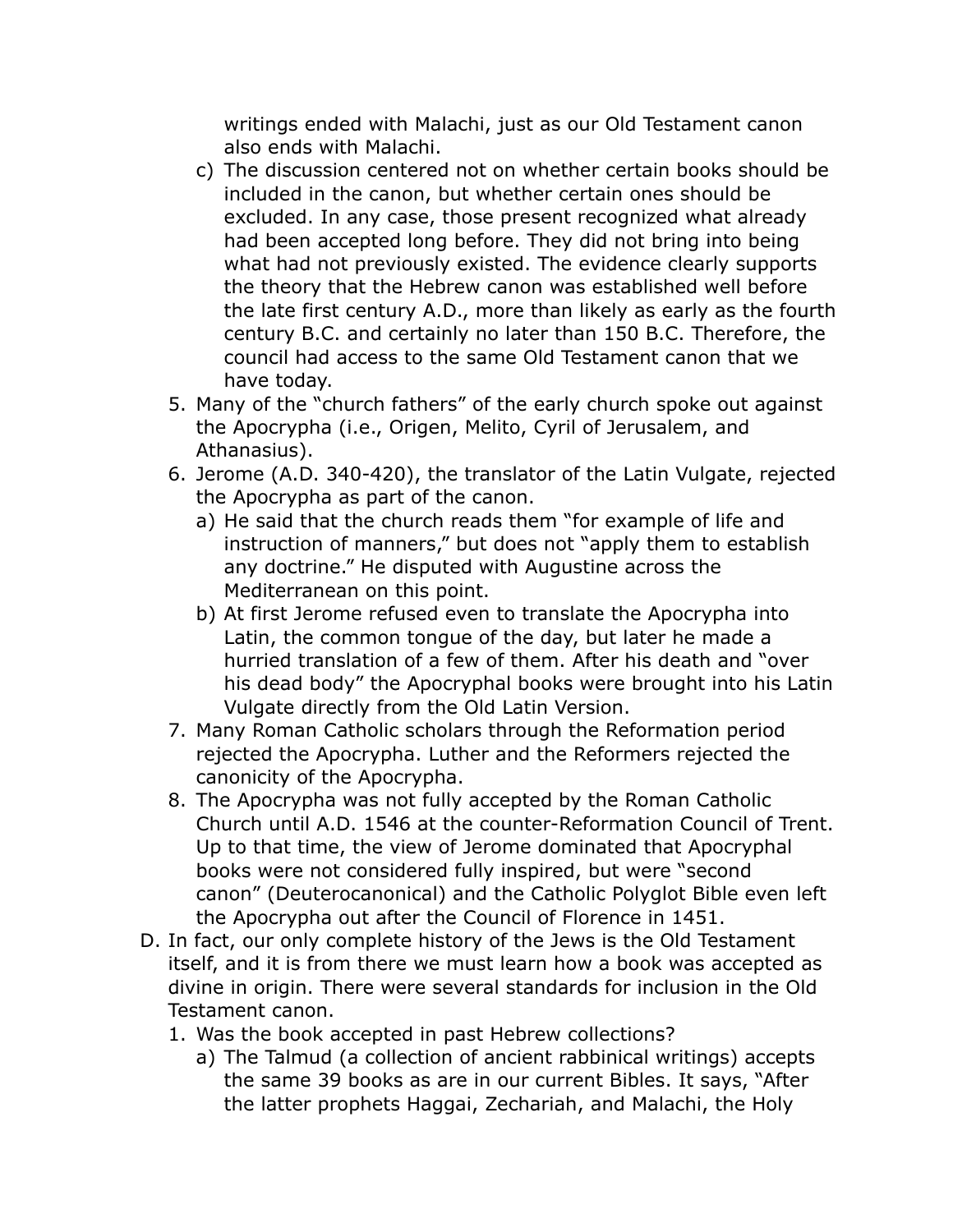writings ended with Malachi, just as our Old Testament canon also ends with Malachi.

- c) The discussion centered not on whether certain books should be included in the canon, but whether certain ones should be excluded. In any case, those present recognized what already had been accepted long before. They did not bring into being what had not previously existed. The evidence clearly supports the theory that the Hebrew canon was established well before the late first century A.D., more than likely as early as the fourth century B.C. and certainly no later than 150 B.C. Therefore, the council had access to the same Old Testament canon that we have today.
- 5. Many of the "church fathers" of the early church spoke out against the Apocrypha (i.e., Origen, Melito, Cyril of Jerusalem, and Athanasius).
- 6. Jerome (A.D. 340-420), the translator of the Latin Vulgate, rejected the Apocrypha as part of the canon.
	- a) He said that the church reads them "for example of life and instruction of manners," but does not "apply them to establish any doctrine." He disputed with Augustine across the Mediterranean on this point.
	- b) At first Jerome refused even to translate the Apocrypha into Latin, the common tongue of the day, but later he made a hurried translation of a few of them. After his death and "over his dead body" the Apocryphal books were brought into his Latin Vulgate directly from the Old Latin Version.
- 7. Many Roman Catholic scholars through the Reformation period rejected the Apocrypha. Luther and the Reformers rejected the canonicity of the Apocrypha.
- 8. The Apocrypha was not fully accepted by the Roman Catholic Church until A.D. 1546 at the counter-Reformation Council of Trent. Up to that time, the view of Jerome dominated that Apocryphal books were not considered fully inspired, but were "second canon" (Deuterocanonical) and the Catholic Polyglot Bible even left the Apocrypha out after the Council of Florence in 1451.
- D. In fact, our only complete history of the Jews is the Old Testament itself, and it is from there we must learn how a book was accepted as divine in origin. There were several standards for inclusion in the Old Testament canon.
	- 1. Was the book accepted in past Hebrew collections?
		- a) The Talmud (a collection of ancient rabbinical writings) accepts the same 39 books as are in our current Bibles. It says, "After the latter prophets Haggai, Zechariah, and Malachi, the Holy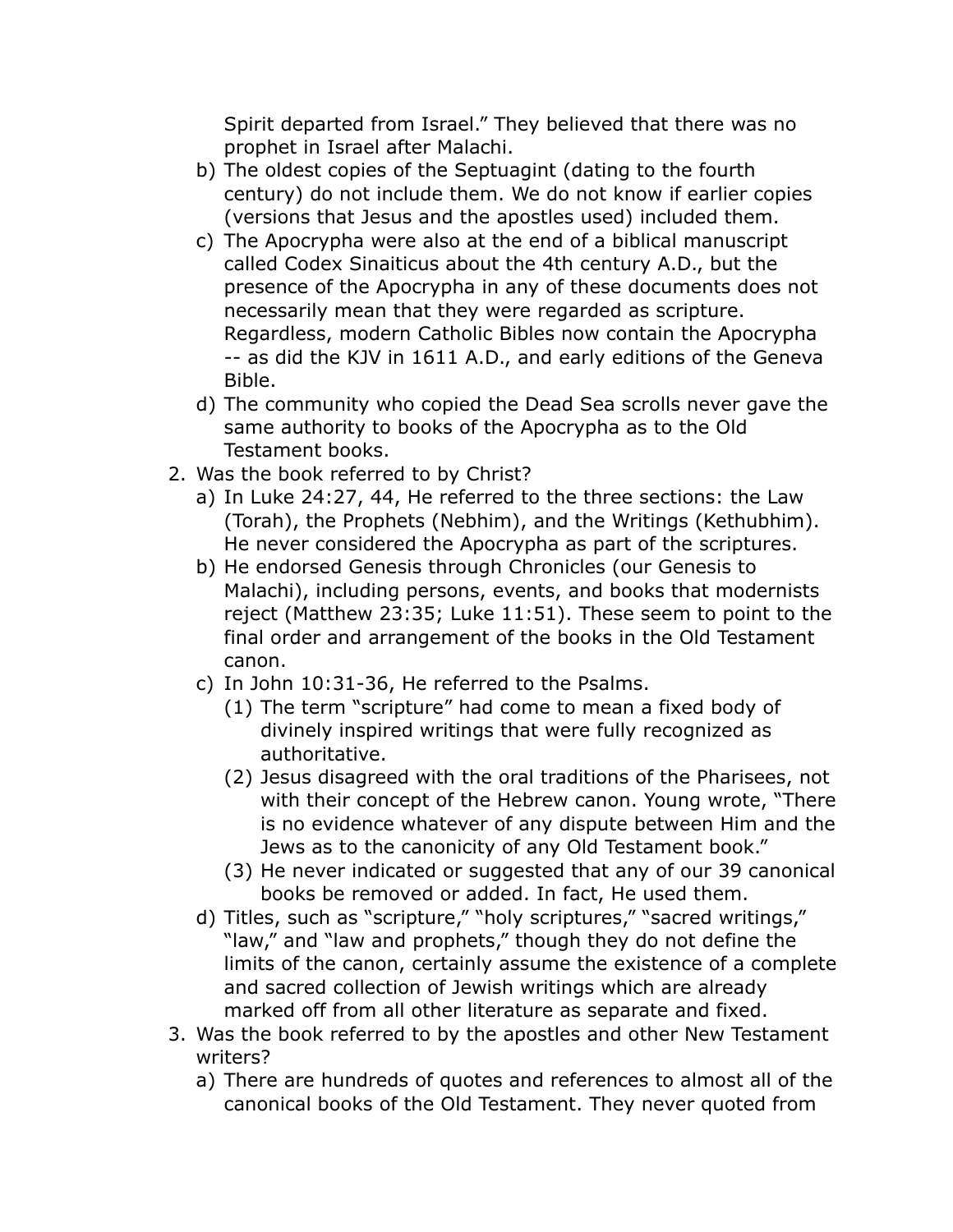Spirit departed from Israel." They believed that there was no prophet in Israel after Malachi.

- b) The oldest copies of the Septuagint (dating to the fourth century) do not include them. We do not know if earlier copies (versions that Jesus and the apostles used) included them.
- c) The Apocrypha were also at the end of a biblical manuscript called Codex Sinaiticus about the 4th century A.D., but the presence of the Apocrypha in any of these documents does not necessarily mean that they were regarded as scripture. Regardless, modern Catholic Bibles now contain the Apocrypha -- as did the KJV in 1611 A.D., and early editions of the Geneva Bible.
- d) The community who copied the Dead Sea scrolls never gave the same authority to books of the Apocrypha as to the Old Testament books.
- 2. Was the book referred to by Christ?
	- a) In Luke 24:27, 44, He referred to the three sections: the Law (Torah), the Prophets (Nebhim), and the Writings (Kethubhim). He never considered the Apocrypha as part of the scriptures.
	- b) He endorsed Genesis through Chronicles (our Genesis to Malachi), including persons, events, and books that modernists reject (Matthew 23:35; Luke 11:51). These seem to point to the final order and arrangement of the books in the Old Testament canon.
	- c) In John 10:31-36, He referred to the Psalms.
		- (1) The term "scripture" had come to mean a fixed body of divinely inspired writings that were fully recognized as authoritative.
		- (2) Jesus disagreed with the oral traditions of the Pharisees, not with their concept of the Hebrew canon. Young wrote, "There is no evidence whatever of any dispute between Him and the Jews as to the canonicity of any Old Testament book."
		- (3) He never indicated or suggested that any of our 39 canonical books be removed or added. In fact, He used them.
	- d) Titles, such as "scripture," "holy scriptures," "sacred writings," "law," and "law and prophets," though they do not define the limits of the canon, certainly assume the existence of a complete and sacred collection of Jewish writings which are already marked off from all other literature as separate and fixed.
- 3. Was the book referred to by the apostles and other New Testament writers?
	- a) There are hundreds of quotes and references to almost all of the canonical books of the Old Testament. They never quoted from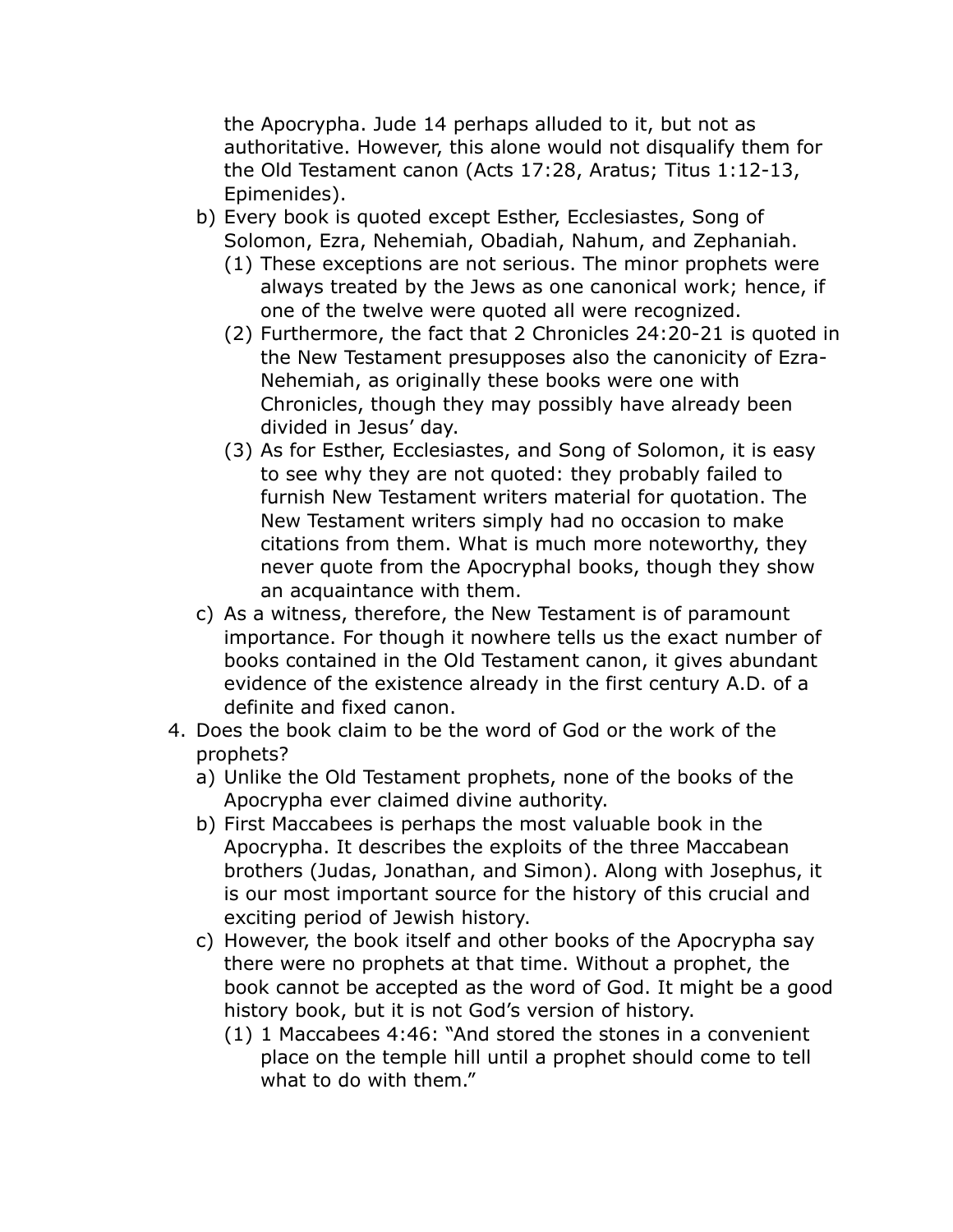the Apocrypha. Jude 14 perhaps alluded to it, but not as authoritative. However, this alone would not disqualify them for the Old Testament canon (Acts 17:28, Aratus; Titus 1:12-13, Epimenides).

- b) Every book is quoted except Esther, Ecclesiastes, Song of Solomon, Ezra, Nehemiah, Obadiah, Nahum, and Zephaniah.
	- (1) These exceptions are not serious. The minor prophets were always treated by the Jews as one canonical work; hence, if one of the twelve were quoted all were recognized.
	- (2) Furthermore, the fact that 2 Chronicles 24:20-21 is quoted in the New Testament presupposes also the canonicity of Ezra-Nehemiah, as originally these books were one with Chronicles, though they may possibly have already been divided in Jesus' day.
	- (3) As for Esther, Ecclesiastes, and Song of Solomon, it is easy to see why they are not quoted: they probably failed to furnish New Testament writers material for quotation. The New Testament writers simply had no occasion to make citations from them. What is much more noteworthy, they never quote from the Apocryphal books, though they show an acquaintance with them.
- c) As a witness, therefore, the New Testament is of paramount importance. For though it nowhere tells us the exact number of books contained in the Old Testament canon, it gives abundant evidence of the existence already in the first century A.D. of a definite and fixed canon.
- 4. Does the book claim to be the word of God or the work of the prophets?
	- a) Unlike the Old Testament prophets, none of the books of the Apocrypha ever claimed divine authority.
	- b) First Maccabees is perhaps the most valuable book in the Apocrypha. It describes the exploits of the three Maccabean brothers (Judas, Jonathan, and Simon). Along with Josephus, it is our most important source for the history of this crucial and exciting period of Jewish history.
	- c) However, the book itself and other books of the Apocrypha say there were no prophets at that time. Without a prophet, the book cannot be accepted as the word of God. It might be a good history book, but it is not God's version of history.
		- (1) 1 Maccabees 4:46: "And stored the stones in a convenient place on the temple hill until a prophet should come to tell what to do with them."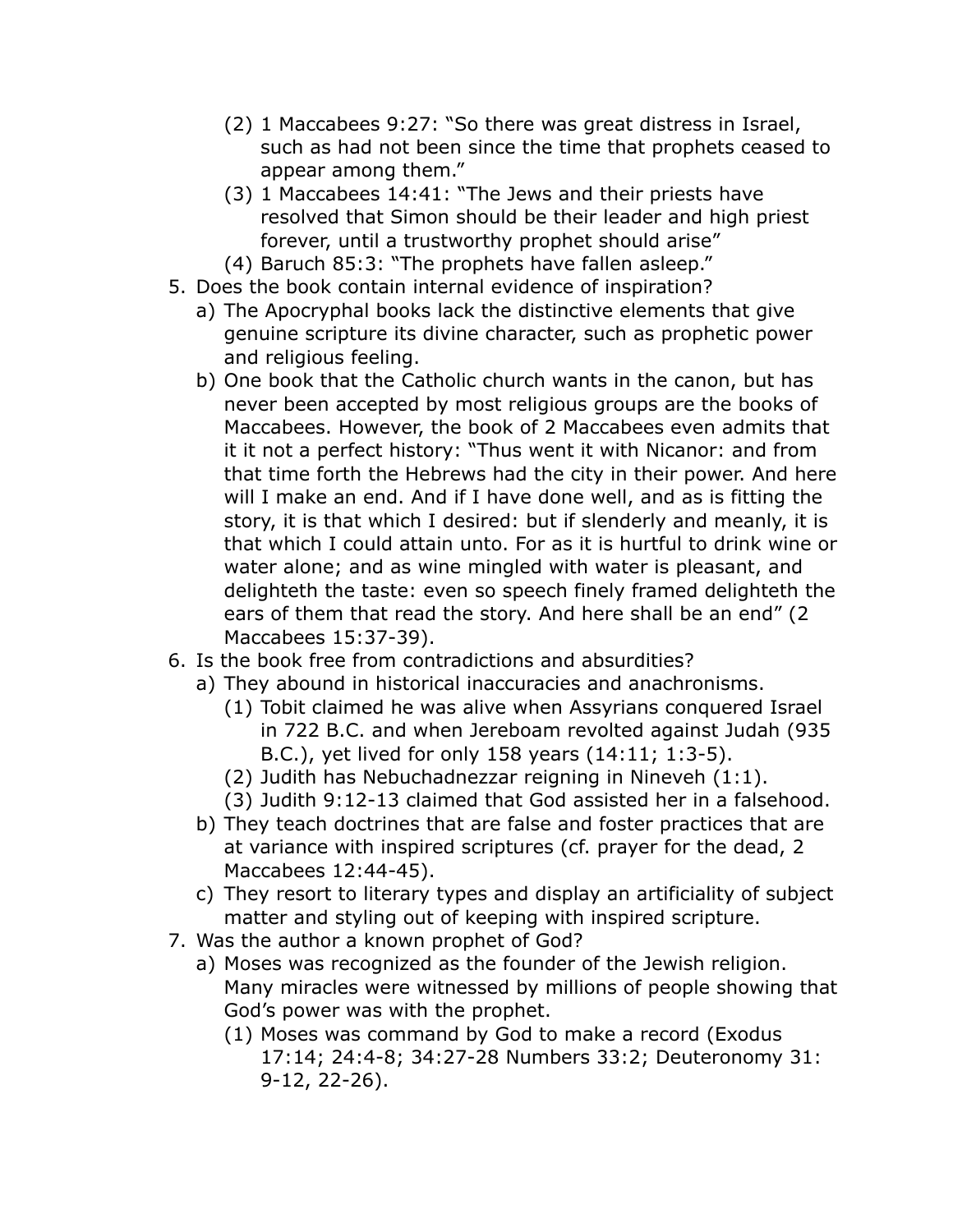- (2) 1 Maccabees 9:27: "So there was great distress in Israel, such as had not been since the time that prophets ceased to appear among them."
- (3) 1 Maccabees 14:41: "The Jews and their priests have resolved that Simon should be their leader and high priest forever, until a trustworthy prophet should arise"
- (4) Baruch 85:3: "The prophets have fallen asleep."
- 5. Does the book contain internal evidence of inspiration?
	- a) The Apocryphal books lack the distinctive elements that give genuine scripture its divine character, such as prophetic power and religious feeling.
	- b) One book that the Catholic church wants in the canon, but has never been accepted by most religious groups are the books of Maccabees. However, the book of 2 Maccabees even admits that it it not a perfect history: "Thus went it with Nicanor: and from that time forth the Hebrews had the city in their power. And here will I make an end. And if I have done well, and as is fitting the story, it is that which I desired: but if slenderly and meanly, it is that which I could attain unto. For as it is hurtful to drink wine or water alone; and as wine mingled with water is pleasant, and delighteth the taste: even so speech finely framed delighteth the ears of them that read the story. And here shall be an end" (2 Maccabees 15:37-39).
- 6. Is the book free from contradictions and absurdities?
	- a) They abound in historical inaccuracies and anachronisms.
		- (1) Tobit claimed he was alive when Assyrians conquered Israel in 722 B.C. and when Jereboam revolted against Judah (935 B.C.), yet lived for only 158 years (14:11; 1:3-5).
		- (2) Judith has Nebuchadnezzar reigning in Nineveh (1:1).
		- (3) Judith 9:12-13 claimed that God assisted her in a falsehood.
	- b) They teach doctrines that are false and foster practices that are at variance with inspired scriptures (cf. prayer for the dead, 2 Maccabees 12:44-45).
	- c) They resort to literary types and display an artificiality of subject matter and styling out of keeping with inspired scripture.
- 7. Was the author a known prophet of God?
	- a) Moses was recognized as the founder of the Jewish religion. Many miracles were witnessed by millions of people showing that God's power was with the prophet.
		- (1) Moses was command by God to make a record (Exodus 17:14; 24:4-8; 34:27-28 Numbers 33:2; Deuteronomy 31: 9-12, 22-26).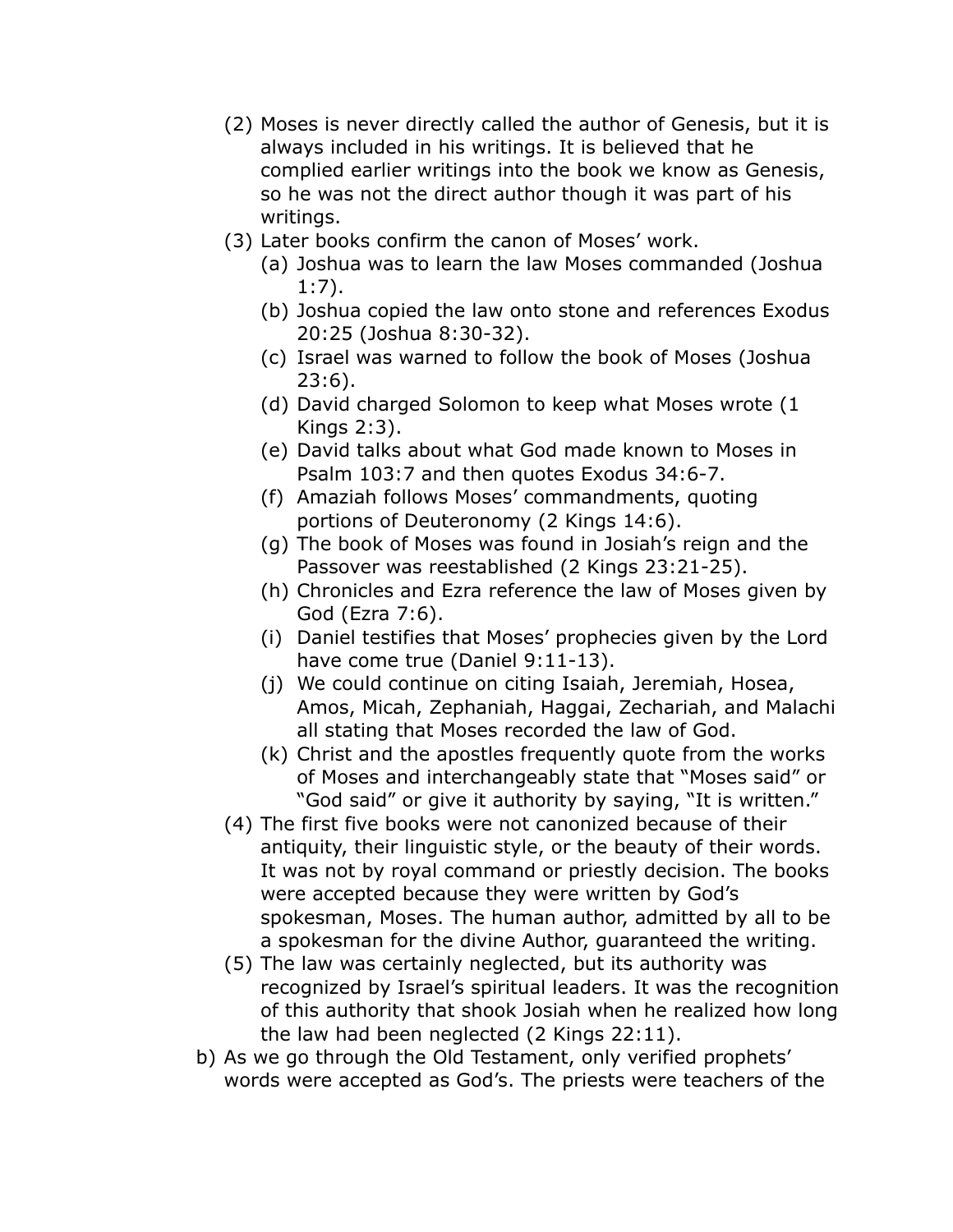- (2) Moses is never directly called the author of Genesis, but it is always included in his writings. It is believed that he complied earlier writings into the book we know as Genesis, so he was not the direct author though it was part of his writings.
- (3) Later books confirm the canon of Moses' work.
	- (a) Joshua was to learn the law Moses commanded (Joshua 1:7).
	- (b) Joshua copied the law onto stone and references Exodus 20:25 (Joshua 8:30-32).
	- (c) Israel was warned to follow the book of Moses (Joshua 23:6).
	- (d) David charged Solomon to keep what Moses wrote (1 Kings 2:3).
	- (e) David talks about what God made known to Moses in Psalm 103:7 and then quotes Exodus 34:6-7.
	- (f) Amaziah follows Moses' commandments, quoting portions of Deuteronomy (2 Kings 14:6).
	- (g) The book of Moses was found in Josiah's reign and the Passover was reestablished (2 Kings 23:21-25).
	- (h) Chronicles and Ezra reference the law of Moses given by God (Ezra 7:6).
	- (i) Daniel testifies that Moses' prophecies given by the Lord have come true (Daniel 9:11-13).
	- (j) We could continue on citing Isaiah, Jeremiah, Hosea, Amos, Micah, Zephaniah, Haggai, Zechariah, and Malachi all stating that Moses recorded the law of God.
	- (k) Christ and the apostles frequently quote from the works of Moses and interchangeably state that "Moses said" or "God said" or give it authority by saying, "It is written."
- (4) The first five books were not canonized because of their antiquity, their linguistic style, or the beauty of their words. It was not by royal command or priestly decision. The books were accepted because they were written by God's spokesman, Moses. The human author, admitted by all to be a spokesman for the divine Author, guaranteed the writing.
- (5) The law was certainly neglected, but its authority was recognized by Israel's spiritual leaders. It was the recognition of this authority that shook Josiah when he realized how long the law had been neglected (2 Kings 22:11).
- b) As we go through the Old Testament, only verified prophets' words were accepted as God's. The priests were teachers of the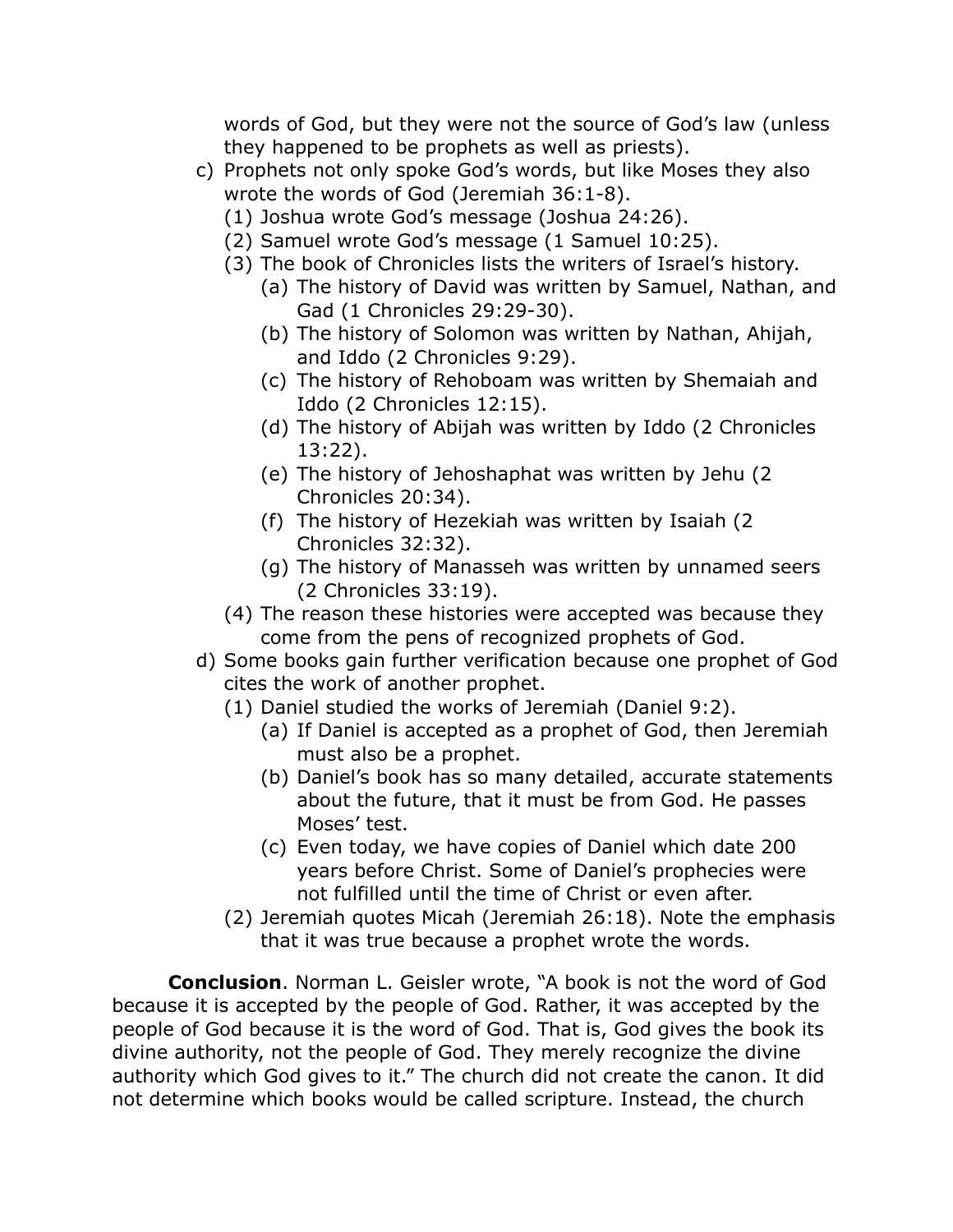words of God, but they were not the source of God's law (unless they happened to be prophets as well as priests).

- c) Prophets not only spoke God's words, but like Moses they also wrote the words of God (Jeremiah 36:1-8).
	- (1) Joshua wrote God's message (Joshua 24:26).
	- (2) Samuel wrote God's message (1 Samuel 10:25).
	- (3) The book of Chronicles lists the writers of Israel's history.
		- (a) The history of David was written by Samuel, Nathan, and Gad (1 Chronicles 29:29-30).
		- (b) The history of Solomon was written by Nathan, Ahijah, and Iddo (2 Chronicles 9:29).
		- (c) The history of Rehoboam was written by Shemaiah and Iddo (2 Chronicles 12:15).
		- (d) The history of Abijah was written by Iddo (2 Chronicles 13:22).
		- (e) The history of Jehoshaphat was written by Jehu (2 Chronicles 20:34).
		- (f) The history of Hezekiah was written by Isaiah (2 Chronicles 32:32).
		- (g) The history of Manasseh was written by unnamed seers (2 Chronicles 33:19).
	- (4) The reason these histories were accepted was because they come from the pens of recognized prophets of God.
- d) Some books gain further verification because one prophet of God cites the work of another prophet.
	- (1) Daniel studied the works of Jeremiah (Daniel 9:2).
		- (a) If Daniel is accepted as a prophet of God, then Jeremiah must also be a prophet.
		- (b) Daniel's book has so many detailed, accurate statements about the future, that it must be from God. He passes Moses' test.
		- (c) Even today, we have copies of Daniel which date 200 years before Christ. Some of Daniel's prophecies were not fulfilled until the time of Christ or even after.
	- (2) Jeremiah quotes Micah (Jeremiah 26:18). Note the emphasis that it was true because a prophet wrote the words.

**Conclusion**. Norman L. Geisler wrote, "A book is not the word of God because it is accepted by the people of God. Rather, it was accepted by the people of God because it is the word of God. That is, God gives the book its divine authority, not the people of God. They merely recognize the divine authority which God gives to it." The church did not create the canon. It did not determine which books would be called scripture. Instead, the church